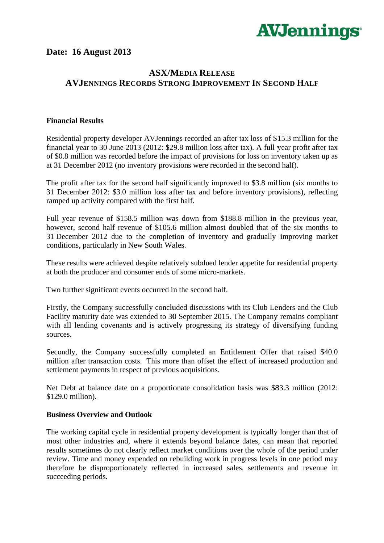

## **Date: 16 August 2013**

## **ASX/MEDIA RELEASE AVJENNINGS RECORDS STRONG IMPROVEMENT IN SECOND HALF**

## **Financial Results**

Residential property developer AVJennings recorded an after tax loss of \$15.3 million for the financial year to 30 June 2013 (2012: \$29.8 million loss after tax). A full year profit after tax of \$0.8 million was recorded before the impact of provisions for loss on inventory taken up as at 31 December 2012 (no inventory provisions were recorded in the second half).

The profit after tax for the second half significantly improved to \$3.8 million (six months to 31 December 2012: \$3.0 million loss after tax and before inventory provisions), reflecting ramped up activity compared with the first half.

Full year revenue of \$158.5 million was down from \$188.8 million in the previous year, however, second half revenue of \$105.6 million almost doubled that of the six months to 31 December 2012 due to the completion of inventory and gradually improving market conditions, particularly in New South Wales.

These results were achieved despite relatively subdued lender appetite for residential property at both the producer and consumer ends of some micro-markets.

Two further significant events occurred in the second half.

Firstly, the Company successfully concluded discussions with its Club Lenders and the Club Facility maturity date was extended to 30 September 2015. The Company remains compliant with all lending covenants and is actively progressing its strategy of diversifying funding sources.

Secondly, the Company successfully completed an Entitlement Offer that raised \$40.0 million after transaction costs. This more than offset the effect of increased production and settlement payments in respect of previous acquisitions.

Net Debt at balance date on a proportionate consolidation basis was \$83.3 million (2012: \$129.0 million).

## **Business Overview and Outlook**

The working capital cycle in residential property development is typically longer than that of most other industries and, where it extends beyond balance dates, can mean that reported results sometimes do not clearly reflect market conditions over the whole of the period under review. Time and money expended on rebuilding work in progress levels in one period may therefore be disproportionately reflected in increased sales, settlements and revenue in succeeding periods.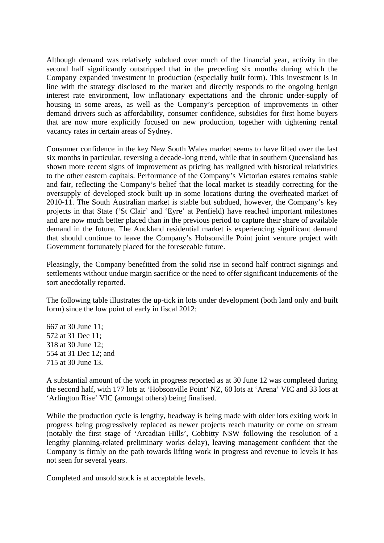Although demand was relatively subdued over much of the financial year, activity in the second half significantly outstripped that in the preceding six months during which the Company expanded investment in production (especially built form). This investment is in line with the strategy disclosed to the market and directly responds to the ongoing benign interest rate environment, low inflationary expectations and the chronic under-supply of housing in some areas, as well as the Company's perception of improvements in other demand drivers such as affordability, consumer confidence, subsidies for first home buyers that are now more explicitly focused on new production, together with tightening rental vacancy rates in certain areas of Sydney.

Consumer confidence in the key New South Wales market seems to have lifted over the last six months in particular, reversing a decade-long trend, while that in southern Queensland has shown more recent signs of improvement as pricing has realigned with historical relativities to the other eastern capitals. Performance of the Company's Victorian estates remains stable and fair, reflecting the Company's belief that the local market is steadily correcting for the oversupply of developed stock built up in some locations during the overheated market of 2010-11. The South Australian market is stable but subdued, however, the Company's key projects in that State ('St Clair' and 'Eyre' at Penfield) have reached important milestones and are now much better placed than in the previous period to capture their share of available demand in the future. The Auckland residential market is experiencing significant demand that should continue to leave the Company's Hobsonville Point joint venture project with Government fortunately placed for the foreseeable future.

Pleasingly, the Company benefitted from the solid rise in second half contract signings and settlements without undue margin sacrifice or the need to offer significant inducements of the sort anecdotally reported.

The following table illustrates the up-tick in lots under development (both land only and built form) since the low point of early in fiscal 2012:

667 at 30 June 11; 572 at 31 Dec 11; 318 at 30 June 12; 554 at 31 Dec 12; and 715 at 30 June 13.

A substantial amount of the work in progress reported as at 30 June 12 was completed during the second half, with 177 lots at 'Hobsonville Point' NZ, 60 lots at 'Arena' VIC and 33 lots at 'Arlington Rise' VIC (amongst others) being finalised.

While the production cycle is lengthy, headway is being made with older lots exiting work in progress being progressively replaced as newer projects reach maturity or come on stream (notably the first stage of 'Arcadian Hills', Cobbitty NSW following the resolution of a lengthy planning-related preliminary works delay), leaving management confident that the Company is firmly on the path towards lifting work in progress and revenue to levels it has not seen for several years.

Completed and unsold stock is at acceptable levels.